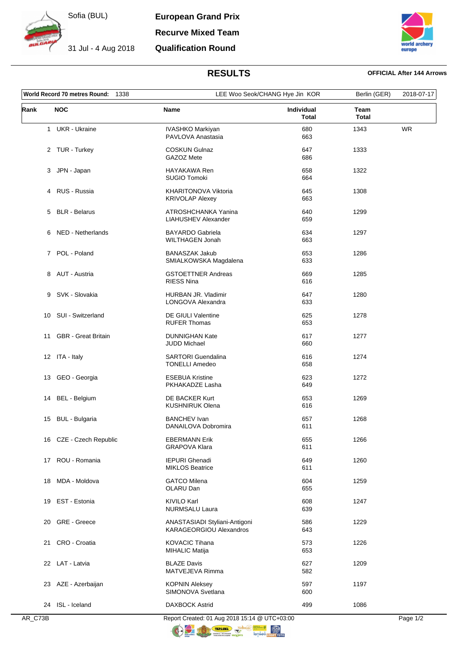

Sofia (BUL)

31 Jul - 4 Aug 2018





## **RESULTS OFFICIAL After 144 Arrows**

| World Record 70 metres Round:<br>1338 |                            |                                                                 | LEE Woo Seok/CHANG Hye Jin KOR |                      | 2018-07-17 |
|---------------------------------------|----------------------------|-----------------------------------------------------------------|--------------------------------|----------------------|------------|
| Rank                                  | <b>NOC</b>                 | Name                                                            | <b>Individual</b><br>Total     | Team<br><b>Total</b> |            |
|                                       | 1 UKR - Ukraine            | IVASHKO Markiyan<br>PAVLOVA Anastasia                           | 680<br>663                     | 1343                 | <b>WR</b>  |
|                                       | 2 TUR - Turkey             | <b>COSKUN Gulnaz</b><br>GAZOZ Mete                              | 647<br>686                     | 1333                 |            |
|                                       | JPN - Japan<br>3           | HAYAKAWA Ren<br><b>SUGIO Tomoki</b>                             | 658<br>664                     | 1322                 |            |
|                                       | 4 RUS - Russia             | <b>KHARITONOVA Viktoria</b><br><b>KRIVOLAP Alexey</b>           | 645<br>663                     | 1308                 |            |
|                                       | <b>BLR</b> - Belarus<br>5  | ATROSHCHANKA Yanina<br>LIAHUSHEV Alexander                      | 640<br>659                     | 1299                 |            |
|                                       | 6 NED - Netherlands        | <b>BAYARDO Gabriela</b><br>WILTHAGEN Jonah                      | 634<br>663                     | 1297                 |            |
|                                       | POL - Poland<br>7          | <b>BANASZAK Jakub</b><br>SMIALKOWSKA Magdalena                  | 653<br>633                     | 1286                 |            |
|                                       | 8 AUT - Austria            | <b>GSTOETTNER Andreas</b><br><b>RIESS Nina</b>                  | 669<br>616                     | 1285                 |            |
| 9                                     | SVK - Slovakia             | HURBAN JR. Vladimir<br>LONGOVA Alexandra                        | 647<br>633                     | 1280                 |            |
|                                       | 10 SUI - Switzerland       | <b>DE GIULI Valentine</b><br><b>RUFER Thomas</b>                | 625<br>653                     | 1278                 |            |
| 11                                    | <b>GBR</b> - Great Britain | <b>DUNNIGHAN Kate</b><br><b>JUDD Michael</b>                    | 617<br>660                     | 1277                 |            |
|                                       | 12 ITA - Italy             | <b>SARTORI</b> Guendalina<br><b>TONELLI Amedeo</b>              | 616<br>658                     | 1274                 |            |
| 13                                    | GEO - Georgia              | <b>ESEBUA Kristine</b><br>PKHAKADZE Lasha                       | 623<br>649                     | 1272                 |            |
| 14                                    | BEL - Belgium              | DE BACKER Kurt<br><b>KUSHNIRUK Olena</b>                        | 653<br>616                     | 1269                 |            |
| 15                                    | <b>BUL - Bulgaria</b>      | <b>BANCHEV Ivan</b><br>DANAILOVA Dobromira                      | 657<br>611                     | 1268                 |            |
|                                       | 16 CZE - Czech Republic    | <b>EBERMANN Erik</b><br><b>GRAPOVA Klara</b>                    | 655<br>611                     | 1266                 |            |
| 17                                    | ROU - Romania              | <b>IEPURI</b> Ghenadi<br><b>MIKLOS Beatrice</b>                 | 649<br>611                     | 1260                 |            |
| 18                                    | MDA - Moldova              | <b>GATCO Milena</b><br>OLARU Dan                                | 604<br>655                     | 1259                 |            |
| 19                                    | EST - Estonia              | KIVILO Karl<br><b>NURMSALU Laura</b>                            | 608<br>639                     | 1247                 |            |
| 20                                    | <b>GRE</b> - Greece        | ANASTASIADI Styliani-Antigoni<br><b>KARAGEORGIOU Alexandros</b> | 586<br>643                     | 1229                 |            |
| 21                                    | CRO - Croatia              | <b>KOVACIC Tihana</b><br><b>MIHALIC Matija</b>                  | 573<br>653                     | 1226                 |            |
|                                       | 22 LAT - Latvia            | <b>BLAZE Davis</b><br>MATVEJEVA Rimma                           | 627<br>582                     | 1209                 |            |
|                                       | 23 AZE - Azerbaijan        | <b>KOPNIN Aleksey</b><br>SIMONOVA Svetlana                      | 597<br>600                     | 1197                 |            |
|                                       | 24 ISL - Iceland           | <b>DAXBOCK Astrid</b>                                           | 499                            | 1086                 |            |

AR\_C73B Report Created: 01 Aug 2018 15:14 @ UTC+03:00 Page 1/2 **TERISHA COMPANY** 

 $\circledR$ <sub>noPT Toto</sub>

 $\bigcirc$